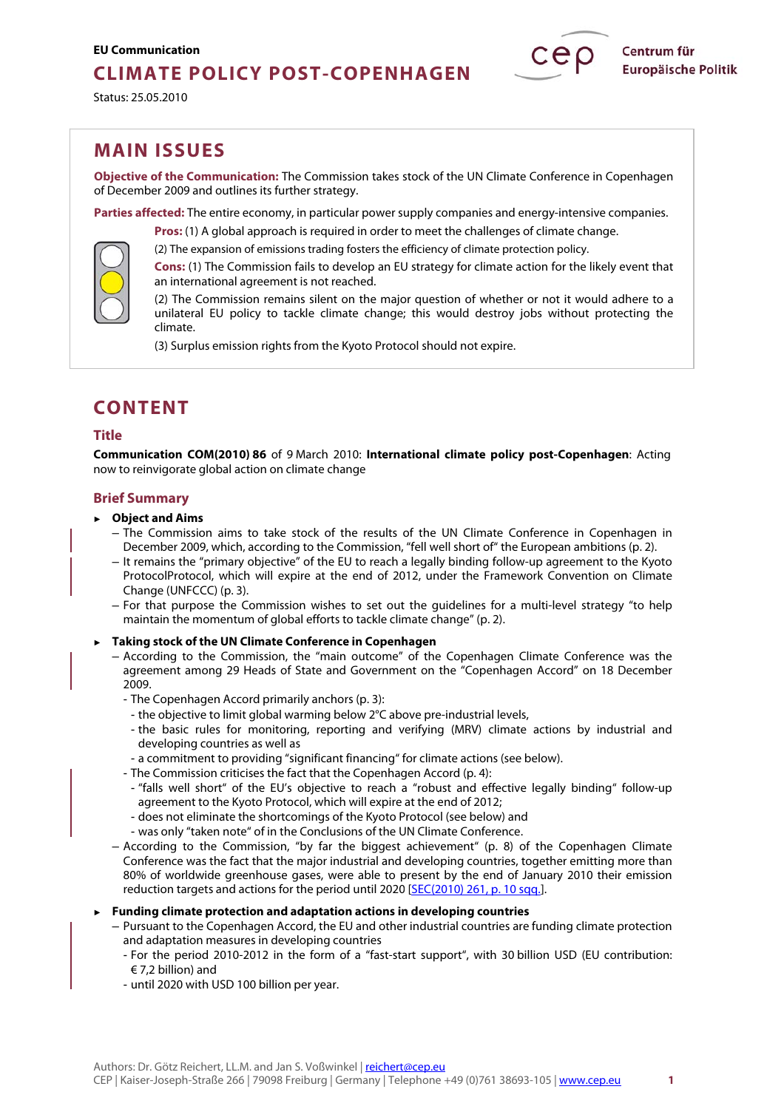## **CLIMATE POLICY POST-COPENHAGEN**

Status: 25.05.2010

## **MAIN ISSUES**

**Objective of the Communication:** The Commission takes stock of the UN Climate Conference in Copenhagen of December 2009 and outlines its further strategy.

**Parties affected:** The entire economy, in particular power supply companies and energy-intensive companies. **Pros:** (1) A global approach is required in order to meet the challenges of climate change.

(2) The expansion of emissions trading fosters the efficiency of climate protection policy. **Cons:** (1) The Commission fails to develop an EU strategy for climate action for the likely event that

an international agreement is not reached.

(2) The Commission remains silent on the major question of whether or not it would adhere to a unilateral EU policy to tackle climate change; this would destroy jobs without protecting the climate.

(3) Surplus emission rights from the Kyoto Protocol should not expire.

# **CONTENT**

## **Title**

**[Communication COM\(2010\) 86](http://ec.europa.eu/environment/climat/pdf/com_2010_86.pdf)** of 9 March 2010: **International climate policy post-Copenhagen**: Acting now to reinvigorate global action on climate change

## **Brief Summary**

- **► Object and Aims** 
	- The Commission aims to take stock of the results of the UN Climate Conference in Copenhagen in December 2009, which, according to the Commission, "fell well short of" the European ambitions (p. 2).
	- It remains the "primary objective" of the EU to reach a legally binding follow-up agreement to the Kyoto ProtocolProtocol, which will expire at the end of 2012, under the Framework Convention on Climate Change (UNFCCC) (p. 3).
	- For that purpose the Commission wishes to set out the guidelines for a multi-level strategy "to help maintain the momentum of global efforts to tackle climate change" (p. 2).

## **► Taking stock of the UN Climate Conference in Copenhagen**

- According to the Commission, the "main outcome" of the Copenhagen Climate Conference was the agreement among 29 Heads of State and Government on the "Copenhagen Accord" on 18 December 2009.
	- The Copenhagen Accord primarily anchors (p. 3):
	- the objective to limit global warming below 2°C above pre-industrial levels,
	- the basic rules for monitoring, reporting and verifying (MRV) climate actions by industrial and developing countries as well as
	- a commitment to providing "significant financing" for climate actions (see below).
	- The Commission criticises the fact that the Copenhagen Accord (p. 4):
		- "falls well short" of the EU's objective to reach a "robust and effective legally binding" follow-up agreement to the Kyoto Protocol, which will expire at the end of 2012;
	- does not eliminate the shortcomings of the Kyoto Protocol (see below) and
	- was only "taken note" of in the Conclusions of the UN Climate Conference.
- According to the Commission, "by far the biggest achievement" (p. 8) of the Copenhagen Climate Conference was the fact that the major industrial and developing countries, together emitting more than 80% of worldwide greenhouse gases, were able to present by the end of January 2010 their emission reduction targets and actions for the period until 2020 [\[SEC\(2010\) 261, p. 10 sqq.\].](http://eur-lex.europa.eu/LexUriServ/LexUriServ.do?uri=SEC:2010:0261:FIN:EN:PDF)
- **► Funding climate protection and adaptation actions in developing countries** 
	- Pursuant to the Copenhagen Accord, the EU and other industrial countries are funding climate protection and adaptation measures in developing countries
		- For the period 2010-2012 in the form of a "fast-start support", with 30 billion USD (EU contribution:  $\in$  7,2 billion) and
		- until 2020 with USD 100 billion per year.

Centrum für **Europäische Politik**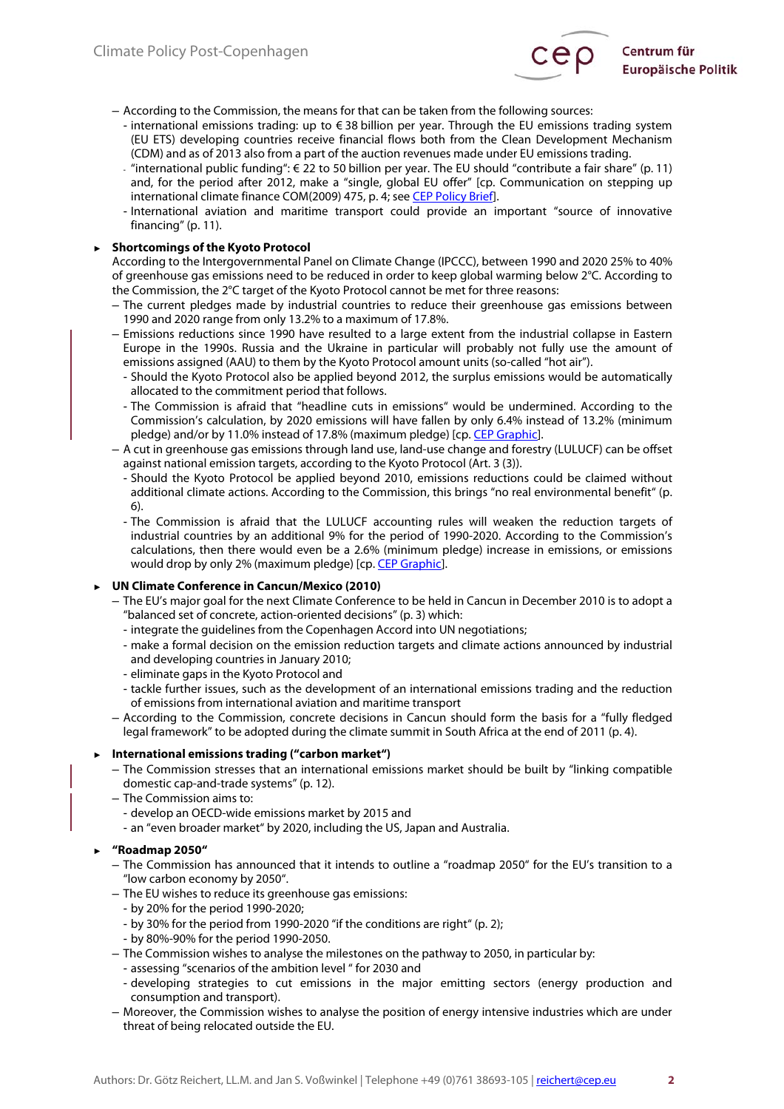

- According to the Commission, the means for that can be taken from the following sources:
	- international emissions trading: up to € 38 billion per year. Through the EU emissions trading system (EU ETS) developing countries receive financial flows both from the Clean Development Mechanism (CDM) and as of 2013 also from a part of the auction revenues made under EU emissions trading.
	- "international public funding": € 22 to 50 billion per year. The EU should "contribute a fair share" (p. 11) and, for the period after 2012, make a "single, global EU offer" [cp. Communication on stepping up international climate finance COM(2009) 475, p. 4, see [CEP Policy Brief\].](http://www.cep.eu/analysen-zur-eu-politik/umwelt/internationale-finanzmittel-fuer-den-klimaschutz/)
	- International aviation and maritime transport could provide an important "source of innovative financing" (p. 11).

## **► Shortcomings of the Kyoto Protocol**

According to the Intergovernmental Panel on Climate Change (IPCCC), between 1990 and 2020 25% to 40% of greenhouse gas emissions need to be reduced in order to keep global warming below 2°C. According to the Commission, the 2°C target of the Kyoto Protocol cannot be met for three reasons:

- The current pledges made by industrial countries to reduce their greenhouse gas emissions between 1990 and 2020 range from only 13.2% to a maximum of 17.8%.
- Emissions reductions since 1990 have resulted to a large extent from the industrial collapse in Eastern Europe in the 1990s. Russia and the Ukraine in particular will probably not fully use the amount of emissions assigned (AAU) to them by the Kyoto Protocol amount units (so-called "hot air").
	- Should the Kyoto Protocol also be applied beyond 2012, the surplus emissions would be automatically allocated to the commitment period that follows.
	- The Commission is afraid that "headline cuts in emissions" would be undermined. According to the Commission's calculation, by 2020 emissions will have fallen by only 6.4% instead of 13.2% (minimum pledge) and/or by 11.0% instead of 17.8% (maximum pledge) [cp. CEP Graphic].
- A cut in greenhouse gas emissions through land use, land-use change and forestry (LULUCF) can be offset against national emission targets, according to the Kyoto Protocol (Art. 3 (3)).
	- Should the Kyoto Protocol be applied beyond 2010, emissions reductions could be claimed without additional climate actions. According to the Commission, this brings "no real environmental benefit" (p. 6).
	- The Commission is afraid that the LULUCF accounting rules will weaken the reduction targets of industrial countries by an additional 9% for the period of 1990-2020. According to the Commission's calculations, then there would even be a 2.6% (minimum pledge) increase in emissions, or emissions would drop by only 2% (maximum pledge) [cp. CEP Graphic].

## **► UN Climate Conference in Cancun/Mexico (2010)**

- The EU's major goal for the next Climate Conference to be held in Cancun in December 2010 is to adopt a "balanced set of concrete, action-oriented decisions" (p. 3) which:
	- integrate the guidelines from the Copenhagen Accord into UN negotiations;
	- make a formal decision on the emission reduction targets and climate actions announced by industrial and developing countries in January 2010;
	- eliminate gaps in the Kyoto Protocol and
	- tackle further issues, such as the development of an international emissions trading and the reduction of emissions from international aviation and maritime transport
- According to the Commission, concrete decisions in Cancun should form the basis for a "fully fledged legal framework" to be adopted during the climate summit in South Africa at the end of 2011 (p. 4).

## **► International emissions trading ("carbon market")**

- The Commission stresses that an international emissions market should be built by "linking compatible domestic cap-and-trade systems" (p. 12).
- The Commission aims to:
	- develop an OECD-wide emissions market by 2015 and
	- an "even broader market" by 2020, including the US, Japan and Australia.

## **► "Roadmap 2050"**

- The Commission has announced that it intends to outline a "roadmap 2050" for the EU's transition to a "low carbon economy by 2050".
- The EU wishes to reduce its greenhouse gas emissions:
	- by 20% for the period 1990-2020;
	- by 30% for the period from 1990-2020 "if the conditions are right" (p. 2);
	- by 80%-90% for the period 1990-2050.
- The Commission wishes to analyse the milestones on the pathway to 2050, in particular by:
	- assessing "scenarios of the ambition level " for 2030 and
	- developing strategies to cut emissions in the major emitting sectors (energy production and consumption and transport).
- Moreover, the Commission wishes to analyse the position of energy intensive industries which are under threat of being relocated outside the EU.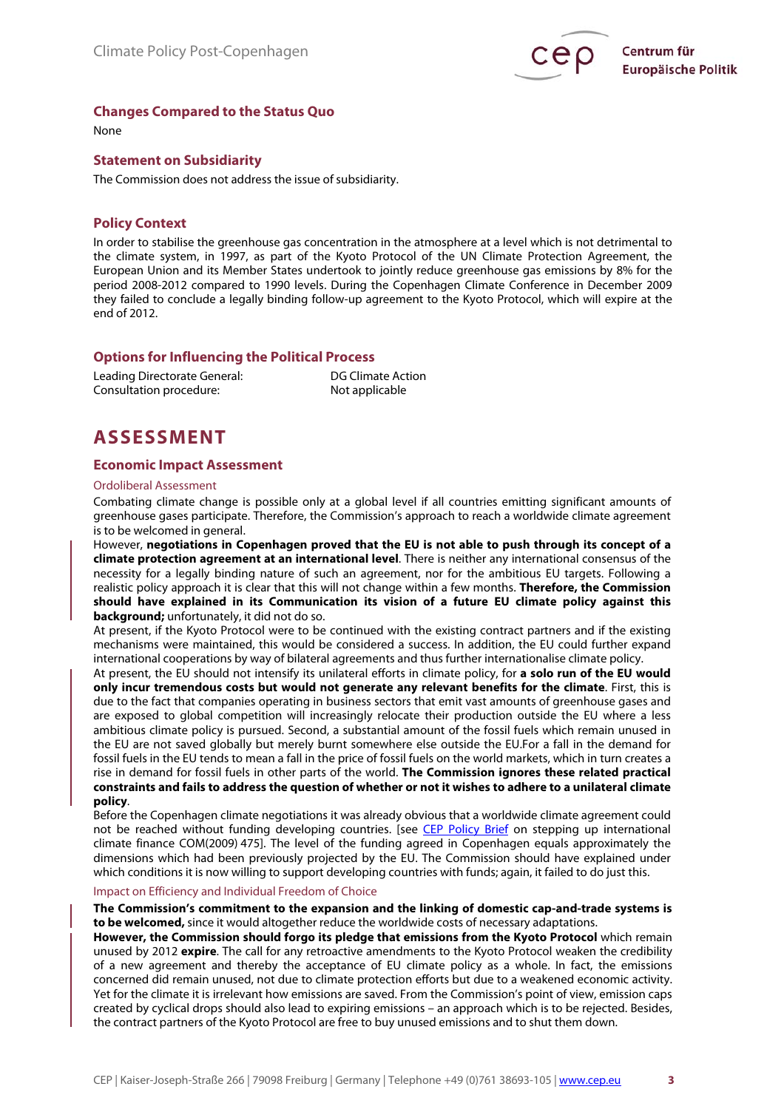

## **Changes Compared to the Status Quo**

None

### **Statement on Subsidiarity**

The Commission does not address the issue of subsidiarity.

## **Policy Context**

In order to stabilise the greenhouse gas concentration in the atmosphere at a level which is not detrimental to the climate system, in 1997, as part of the Kyoto Protocol of the UN Climate Protection Agreement, the European Union and its Member States undertook to jointly reduce greenhouse gas emissions by 8% for the period 2008-2012 compared to 1990 levels. During the Copenhagen Climate Conference in December 2009 they failed to conclude a legally binding follow-up agreement to the Kyoto Protocol, which will expire at the end of 2012.

## **Options for Influencing the Political Process**

Leading Directorate General: DG Climate Action Consultation procedure: Not applicable

## **ASSESSMENT**

### **Economic Impact Assessment**

#### Ordoliberal Assessment

Combating climate change is possible only at a global level if all countries emitting significant amounts of greenhouse gases participate. Therefore, the Commission's approach to reach a worldwide climate agreement is to be welcomed in general.

However, **negotiations in Copenhagen proved that the EU is not able to push through its concept of a climate protection agreement at an international level**. There is neither any international consensus of the necessity for a legally binding nature of such an agreement, nor for the ambitious EU targets. Following a realistic policy approach it is clear that this will not change within a few months. **Therefore, the Commission should have explained in its Communication its vision of a future EU climate policy against this background;** unfortunately, it did not do so.

At present, if the Kyoto Protocol were to be continued with the existing contract partners and if the existing mechanisms were maintained, this would be considered a success. In addition, the EU could further expand international cooperations by way of bilateral agreements and thus further internationalise climate policy.

At present, the EU should not intensify its unilateral efforts in climate policy, for **a solo run of the EU would only incur tremendous costs but would not generate any relevant benefits for the climate**. First, this is due to the fact that companies operating in business sectors that emit vast amounts of greenhouse gases and are exposed to global competition will increasingly relocate their production outside the EU where a less ambitious climate policy is pursued. Second, a substantial amount of the fossil fuels which remain unused in the EU are not saved globally but merely burnt somewhere else outside the EU.For a fall in the demand for fossil fuels in the EU tends to mean a fall in the price of fossil fuels on the world markets, which in turn creates a rise in demand for fossil fuels in other parts of the world. **The Commission ignores these related practical constraints and fails to address the question of whether or not it wishes to adhere to a unilateral climate policy**.

Before the Copenhagen climate negotiations it was already obvious that a worldwide climate agreement could not be reached without funding developing countries. [see [CEP Policy Brief](http://www.cep.eu/analysen-zur-eu-politik/umwelt/internationale-finanzmittel-fuer-den-klimaschutz/) on stepping up international climate finance COM(2009) 475]. The level of the funding agreed in Copenhagen equals approximately the dimensions which had been previously projected by the EU. The Commission should have explained under which conditions it is now willing to support developing countries with funds; again, it failed to do just this.

### Impact on Efficiency and Individual Freedom of Choice

### **The Commission's commitment to the expansion and the linking of domestic cap-and-trade systems is to be welcomed,** since it would altogether reduce the worldwide costs of necessary adaptations.

**However, the Commission should forgo its pledge that emissions from the Kyoto Protocol** which remain unused by 2012 **expire**. The call for any retroactive amendments to the Kyoto Protocol weaken the credibility of a new agreement and thereby the acceptance of EU climate policy as a whole. In fact, the emissions concerned did remain unused, not due to climate protection efforts but due to a weakened economic activity. Yet for the climate it is irrelevant how emissions are saved. From the Commission's point of view, emission caps created by cyclical drops should also lead to expiring emissions – an approach which is to be rejected. Besides, the contract partners of the Kyoto Protocol are free to buy unused emissions and to shut them down.